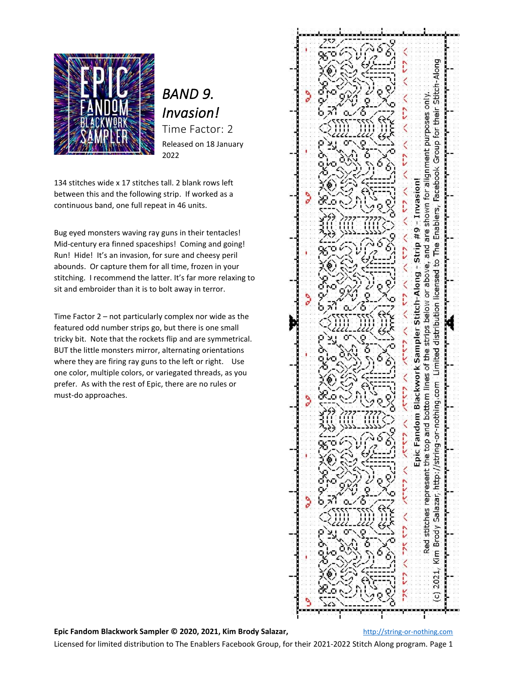

# *BAND 9. Invasion!*  Time Factor: 2

Released on 18 January 2022

134 stitches wide x 17 stitches tall. 2 blank rows left between this and the following strip. If worked as a continuous band, one full repeat in 46 units.

Bug eyed monsters waving ray guns in their tentacles! Mid-century era finned spaceships! Coming and going! Run! Hide! It's an invasion, for sure and cheesy peril abounds. Or capture them for all time, frozen in your stitching. I recommend the latter. It's far more relaxing to sit and embroider than it is to bolt away in terror.

Time Factor 2 – not particularly complex nor wide as the featured odd number strips go, but there is one small tricky bit. Note that the rockets flip and are symmetrical. BUT the little monsters mirror, alternating orientations where they are firing ray guns to the left or right. Use one color, multiple colors, or variegated threads, as you prefer. As with the rest of Epic, there are no rules or must-do approaches.



## **Epic Fandom Blackwork Sampler © 2020, 2021, Kim Brody Salazar,** [http://string-or-nothing.com](http://string-or-nothing.com/)

Licensed for limited distribution to The Enablers Facebook Group, for their 2021-2022 Stitch Along program. Page 1